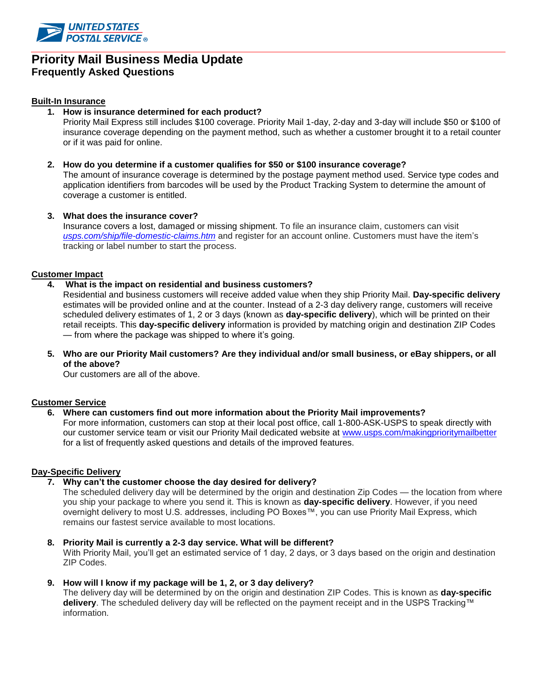

# **Priority Mail Business Media Update Frequently Asked Questions**

### **Built-In Insurance**

**1. How is insurance determined for each product?**

Priority Mail Express still includes \$100 coverage. Priority Mail 1-day, 2-day and 3-day will include \$50 or \$100 of insurance coverage depending on the payment method, such as whether a customer brought it to a retail counter or if it was paid for online.

**2. How do you determine if a customer qualifies for \$50 or \$100 insurance coverage?**  The amount of insurance coverage is determined by the postage payment method used. Service type codes and application identifiers from barcodes will be used by the Product Tracking System to determine the amount of coverage a customer is entitled.

#### **3. What does the insurance cover?**

Insurance covers a lost, damaged or missing shipment. To file an insurance claim, customers can visit *usps.com/ship/file-domestic-claims.htm* and register for an account online. Customers must have the item's tracking or label number to start the process.

## **Customer Impact**

## **4. What is the impact on residential and business customers?**

Residential and business customers will receive added value when they ship Priority Mail. **Day-specific delivery** estimates will be provided online and at the counter. Instead of a 2-3 day delivery range, customers will receive scheduled delivery estimates of 1, 2 or 3 days (known as **day-specific delivery**), which will be printed on their retail receipts. This **day-specific delivery** information is provided by matching origin and destination ZIP Codes — from where the package was shipped to where it's going.

**5. Who are our Priority Mail customers? Are they individual and/or small business, or eBay shippers, or all of the above?**

Our customers are all of the above.

#### **Customer Service**

#### **6. Where can customers find out more information about the Priority Mail improvements?**

For more information, customers can stop at their local post office, call 1-800-ASK-USPS to speak directly with our customer service team or visit our Priority Mail dedicated website at [www.usps.com/makingprioritymailbetter](http://www.usps.com/makingprioritymailbetter) for a list of frequently asked questions and details of the improved features.

#### **Day-Specific Delivery**

**7. Why can't the customer choose the day desired for delivery?**

The scheduled delivery day will be determined by the origin and destination Zip Codes — the location from where you ship your package to where you send it. This is known as **day-specific delivery**. However, if you need overnight delivery to most U.S. addresses, including PO Boxes™, you can use Priority Mail Express, which remains our fastest service available to most locations.

### **8. Priority Mail is currently a 2-3 day service. What will be different?**

With Priority Mail, you'll get an estimated service of 1 day, 2 days, or 3 days based on the origin and destination ZIP Codes.

### **9. How will I know if my package will be 1, 2, or 3 day delivery?**

The delivery day will be determined by on the origin and destination ZIP Codes. This is known as **day-specific delivery**. The scheduled delivery day will be reflected on the payment receipt and in the USPS Tracking™ information.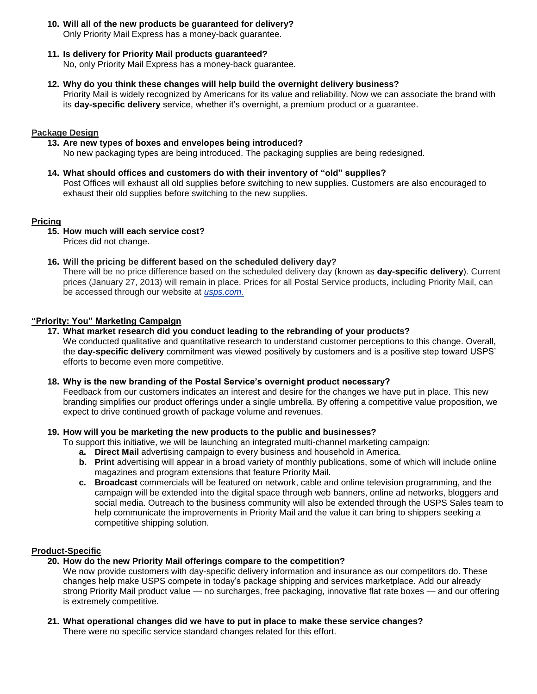- **10. Will all of the new products be guaranteed for delivery?** Only Priority Mail Express has a money-back guarantee.
- **11. Is delivery for Priority Mail products guaranteed?**

No, only Priority Mail Express has a money-back guarantee.

**12. Why do you think these changes will help build the overnight delivery business?**

Priority Mail is widely recognized by Americans for its value and reliability. Now we can associate the brand with its **day-specific delivery** service, whether it's overnight, a premium product or a guarantee.

### **Package Design**

- **13. Are new types of boxes and envelopes being introduced?** No new packaging types are being introduced. The packaging supplies are being redesigned.
- **14. What should offices and customers do with their inventory of "old" supplies?** Post Offices will exhaust all old supplies before switching to new supplies. Customers are also encouraged to exhaust their old supplies before switching to the new supplies.

## **Pricing**

**15. How much will each service cost?**

Prices did not change.

**16. Will the pricing be different based on the scheduled delivery day?**  There will be no price difference based on the scheduled delivery day (known as **day-specific delivery**). Current prices (January 27, 2013) will remain in place. Prices for all Postal Service products, including Priority Mail, can

be accessed through our website at *usps.com.*

# **"Priority: You" Marketing Campaign**

**17. What market research did you conduct leading to the rebranding of your products?**

We conducted qualitative and quantitative research to understand customer perceptions to this change. Overall, the **day-specific delivery** commitment was viewed positively by customers and is a positive step toward USPS' efforts to become even more competitive.

#### **18. Why is the new branding of the Postal Service's overnight product necessary?**

Feedback from our customers indicates an interest and desire for the changes we have put in place. This new branding simplifies our product offerings under a single umbrella. By offering a competitive value proposition, we expect to drive continued growth of package volume and revenues.

# **19. How will you be marketing the new products to the public and businesses?**

To support this initiative, we will be launching an integrated multi-channel marketing campaign:

- **a. Direct Mail** advertising campaign to every business and household in America.
- **b. Print** advertising will appear in a broad variety of monthly publications, some of which will include online magazines and program extensions that feature Priority Mail.
- **c. Broadcast** commercials will be featured on network, cable and online television programming, and the campaign will be extended into the digital space through web banners, online ad networks, bloggers and social media. Outreach to the business community will also be extended through the USPS Sales team to help communicate the improvements in Priority Mail and the value it can bring to shippers seeking a competitive shipping solution.

# **Product-Specific**

# **20. How do the new Priority Mail offerings compare to the competition?**

We now provide customers with day-specific delivery information and insurance as our competitors do. These changes help make USPS compete in today's package shipping and services marketplace. Add our already strong Priority Mail product value — no surcharges, free packaging, innovative flat rate boxes — and our offering is extremely competitive.

# **21. What operational changes did we have to put in place to make these service changes?**

There were no specific service standard changes related for this effort.